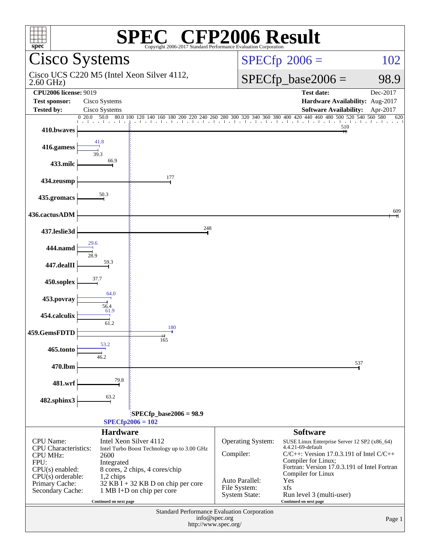| $\mathbb{C}^{\circ}$ CFP2006 Result<br>$spec^*$<br>Copyright 2006-2017 Standard Performance Ey                                                                |                                    |                                                                                                          |                      |                                                    |                 |  |  |
|---------------------------------------------------------------------------------------------------------------------------------------------------------------|------------------------------------|----------------------------------------------------------------------------------------------------------|----------------------|----------------------------------------------------|-----------------|--|--|
|                                                                                                                                                               | Cisco Systems                      |                                                                                                          |                      | $SPECfp^{\circ}2006 =$<br>102                      |                 |  |  |
| $2.60$ GHz)                                                                                                                                                   |                                    | Cisco UCS C220 M5 (Intel Xeon Silver 4112,                                                               |                      | $SPECfp\_base2006 =$<br>98.9                       |                 |  |  |
| <b>CPU2006 license: 9019</b>                                                                                                                                  |                                    |                                                                                                          |                      | <b>Test date:</b>                                  | Dec-2017        |  |  |
| <b>Test sponsor:</b>                                                                                                                                          | Cisco Systems                      |                                                                                                          |                      | Hardware Availability: Aug-2017                    |                 |  |  |
| <b>Tested by:</b>                                                                                                                                             | Cisco Systems<br>$0\,20.0$<br>50.0 |                                                                                                          |                      | <b>Software Availability:</b>                      | Apr-2017<br>620 |  |  |
| 410.bwaves                                                                                                                                                    |                                    | 80.0 100 120 140 160 180 200 210 240 260 280 300 320 340 360 380 400 420 440 460 480 500 520 540 560 580 |                      | 510                                                |                 |  |  |
| 416.gamess                                                                                                                                                    |                                    |                                                                                                          |                      |                                                    |                 |  |  |
| 433.milc                                                                                                                                                      | 66.9                               |                                                                                                          |                      |                                                    |                 |  |  |
| 434.zeusmp                                                                                                                                                    |                                    | 177                                                                                                      |                      |                                                    |                 |  |  |
| 435.gromacs                                                                                                                                                   |                                    |                                                                                                          |                      |                                                    |                 |  |  |
| 436.cactusADM                                                                                                                                                 |                                    |                                                                                                          |                      |                                                    | 609             |  |  |
| 437.leslie3d                                                                                                                                                  |                                    | 248                                                                                                      |                      |                                                    |                 |  |  |
| 444.namd                                                                                                                                                      |                                    |                                                                                                          |                      |                                                    |                 |  |  |
| 447.dealII                                                                                                                                                    | 59.3                               |                                                                                                          |                      |                                                    |                 |  |  |
| 450.soplex                                                                                                                                                    |                                    |                                                                                                          |                      |                                                    |                 |  |  |
| 453.povray                                                                                                                                                    | 64.0<br>56.4                       |                                                                                                          |                      |                                                    |                 |  |  |
| 454.calculix                                                                                                                                                  | 61.9<br>61.2                       | 180                                                                                                      |                      |                                                    |                 |  |  |
| 459.GemsFDTD                                                                                                                                                  | 53.2                               | 165                                                                                                      |                      |                                                    |                 |  |  |
| 465.tonto                                                                                                                                                     |                                    |                                                                                                          |                      |                                                    |                 |  |  |
| 470.lbm                                                                                                                                                       |                                    |                                                                                                          |                      |                                                    | 537             |  |  |
| 481.wrf                                                                                                                                                       | 79.8                               |                                                                                                          |                      |                                                    |                 |  |  |
| 482.sphinx3                                                                                                                                                   | 63.2                               |                                                                                                          |                      |                                                    |                 |  |  |
| $SPECfp\_base2006 = 98.9$                                                                                                                                     |                                    |                                                                                                          |                      |                                                    |                 |  |  |
| $SPECfp2006 = 102$<br><b>Hardware</b><br><b>Software</b>                                                                                                      |                                    |                                                                                                          |                      |                                                    |                 |  |  |
| CPU Name:                                                                                                                                                     |                                    | Intel Xeon Silver 4112                                                                                   | Operating System:    | SUSE Linux Enterprise Server 12 SP2 (x86_64)       |                 |  |  |
| <b>CPU</b> Characteristics:                                                                                                                                   |                                    | Intel Turbo Boost Technology up to 3.00 GHz                                                              | Compiler:            | 4.4.21-69-default                                  |                 |  |  |
| $C/C++$ : Version 17.0.3.191 of Intel $C/C++$<br><b>CPU MHz:</b><br>2600<br>Compiler for Linux;<br>FPU:<br>Integrated                                         |                                    |                                                                                                          |                      |                                                    |                 |  |  |
| Fortran: Version 17.0.3.191 of Intel Fortran<br>$CPU(s)$ enabled:<br>8 cores, 2 chips, 4 cores/chip<br>Compiler for Linux<br>$CPU(s)$ orderable:<br>1,2 chips |                                    |                                                                                                          |                      |                                                    |                 |  |  |
| Auto Parallel:<br>Yes<br>Primary Cache:<br>$32$ KB I + 32 KB D on chip per core<br>File System:<br>xfs                                                        |                                    |                                                                                                          |                      |                                                    |                 |  |  |
| Secondary Cache:                                                                                                                                              | Continued on next page             | 1 MB I+D on chip per core                                                                                | <b>System State:</b> | Run level 3 (multi-user)<br>Continued on next page |                 |  |  |
| Standard Performance Evaluation Corporation<br>info@spec.org                                                                                                  |                                    |                                                                                                          |                      |                                                    |                 |  |  |
|                                                                                                                                                               |                                    | http://www.spec.org/                                                                                     |                      |                                                    | Page 1          |  |  |
|                                                                                                                                                               |                                    |                                                                                                          |                      |                                                    |                 |  |  |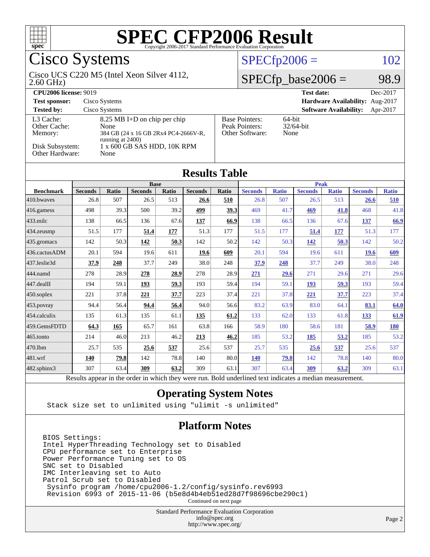

### Cisco Systems

#### 2.60 GHz) Cisco UCS C220 M5 (Intel Xeon Silver 4112,

 $SPECfp2006 = 102$  $SPECfp2006 = 102$ 

#### $SPECTp\_base2006 = 98.9$

| <b>CPU2006 license: 9019</b>         |                                                                                                    | <b>Test date:</b><br>Dec-2017                              |                                           |  |  |
|--------------------------------------|----------------------------------------------------------------------------------------------------|------------------------------------------------------------|-------------------------------------------|--|--|
| <b>Test sponsor:</b>                 | Cisco Systems                                                                                      | Hardware Availability: Aug-2017                            |                                           |  |  |
| <b>Tested by:</b>                    | Cisco Systems                                                                                      |                                                            | <b>Software Availability:</b><br>Apr-2017 |  |  |
| L3 Cache:<br>Other Cache:<br>Memory: | $8.25$ MB I+D on chip per chip<br>None<br>384 GB (24 x 16 GB 2Rx4 PC4-2666V-R,<br>running at 2400) | <b>Base Pointers:</b><br>Peak Pointers:<br>Other Software: | $64$ -bit<br>$32/64$ -bit<br>None         |  |  |
| Disk Subsystem:<br>Other Hardware:   | 1 x 600 GB SAS HDD, 10K RPM<br>None                                                                |                                                            |                                           |  |  |

**[Results Table](http://www.spec.org/auto/cpu2006/Docs/result-fields.html#ResultsTable)**

|                   |                                                                                                          |              |                |       | Roguio Tadic   |       |                |              |                |              |                |              |
|-------------------|----------------------------------------------------------------------------------------------------------|--------------|----------------|-------|----------------|-------|----------------|--------------|----------------|--------------|----------------|--------------|
|                   | <b>Base</b>                                                                                              |              |                |       |                |       | <b>Peak</b>    |              |                |              |                |              |
| <b>Benchmark</b>  | <b>Seconds</b>                                                                                           | <b>Ratio</b> | <b>Seconds</b> | Ratio | <b>Seconds</b> | Ratio | <b>Seconds</b> | <b>Ratio</b> | <b>Seconds</b> | <b>Ratio</b> | <b>Seconds</b> | <b>Ratio</b> |
| 410.bwayes        | 26.8                                                                                                     | 507          | 26.5           | 513   | 26.6           | 510   | 26.8           | 507          | 26.5           | 513          | 26.6           | 510          |
| 416.gamess        | 498                                                                                                      | 39.3         | 500            | 39.2  | 499            | 39.3  | 469            | 41.7         | 469            | 41.8         | 468            | 41.8         |
| $433$ .milc       | 138                                                                                                      | 66.5         | 136            | 67.6  | 137            | 66.9  | 138            | 66.5         | 136            | 67.6         | 137            | 66.9         |
| 434.zeusmp        | 51.5                                                                                                     | 177          | 51.4           | 177   | 51.3           | 177   | 51.5           | 177          | 51.4           | 177          | 51.3           | 177          |
| $435$ .gromacs    | 142                                                                                                      | 50.3         | 142            | 50.3  | 142            | 50.2  | 142            | 50.3         | <u>142</u>     | 50.3         | 142            | 50.2         |
| 436.cactusADM     | 20.1                                                                                                     | 594          | 19.6           | 611   | 19.6           | 609   | 20.1           | 594          | 19.6           | 611          | 19.6           | 609          |
| 437.leslie3d      | 37.9                                                                                                     | 248          | 37.7           | 249   | 38.0           | 248   | 37.9           | 248          | 37.7           | 249          | 38.0           | 248          |
| 444.namd          | 278                                                                                                      | 28.9         | 278            | 28.9  | 278            | 28.9  | 271            | 29.6         | 271            | 29.6         | 271            | 29.6         |
| 447.dealII        | 194                                                                                                      | 59.1         | 193            | 59.3  | 193            | 59.4  | 194            | 59.1         | 193            | 59.3         | 193            | 59.4         |
| $450$ .soplex     | 221                                                                                                      | 37.8         | 221            | 37.7  | 223            | 37.4  | 221            | 37.8         | 221            | 37.7         | 223            | 37.4         |
| 453.povray        | 94.4                                                                                                     | 56.4         | 94.4           | 56.4  | 94.0           | 56.6  | 83.2           | 63.9         | 83.0           | 64.1         | 83.1           | 64.0         |
| 454.calculix      | 135                                                                                                      | 61.3         | 135            | 61.1  | 135            | 61.2  | 133            | 62.0         | 133            | 61.8         | 133            | 61.9         |
| 459.GemsFDTD      | 64.3                                                                                                     | 165          | 65.7           | 161   | 63.8           | 166   | 58.9           | 180          | 58.6           | 181          | 58.9           | 180          |
| $465$ .tonto      | 214                                                                                                      | 46.0         | 213            | 46.2  | 213            | 46.2  | 185            | 53.2         | 185            | 53.2         | 185            | 53.2         |
| 470.1bm           | 25.7                                                                                                     | 535          | 25.6           | 537   | 25.6           | 537   | 25.7           | 535          | 25.6           | 537          | 25.6           | 537          |
| 481.wrf           | 140                                                                                                      | 79.8         | 142            | 78.8  | 140            | 80.0  | 140            | 79.8         | 142            | 78.8         | 140            | 80.0         |
| $482$ .sphinx $3$ | 307                                                                                                      | 63.4         | 309            | 63.2  | 309            | 63.1  | 307            | 63.4         | 309            | 63.2         | 309            | 63.1         |
|                   | Results appear in the order in which they were run. Bold underlined text indicates a median measurement. |              |                |       |                |       |                |              |                |              |                |              |

#### **[Operating System Notes](http://www.spec.org/auto/cpu2006/Docs/result-fields.html#OperatingSystemNotes)**

Stack size set to unlimited using "ulimit -s unlimited"

#### **[Platform Notes](http://www.spec.org/auto/cpu2006/Docs/result-fields.html#PlatformNotes)**

BIOS Settings: Intel HyperThreading Technology set to Disabled CPU performance set to Enterprise Power Performance Tuning set to OS SNC set to Disabled IMC Interleaving set to Auto Patrol Scrub set to Disabled Sysinfo program /home/cpu2006-1.2/config/sysinfo.rev6993 Revision 6993 of 2015-11-06 (b5e8d4b4eb51ed28d7f98696cbe290c1)

Continued on next page

Standard Performance Evaluation Corporation [info@spec.org](mailto:info@spec.org) <http://www.spec.org/>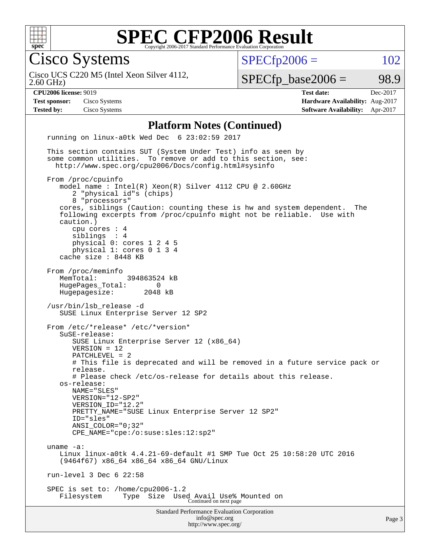

Cisco Systems

 $SPECTp2006 = 102$ 

2.60 GHz) Cisco UCS C220 M5 (Intel Xeon Silver 4112,

 $SPECTp\_base2006 = 98.9$ 

**[CPU2006 license:](http://www.spec.org/auto/cpu2006/Docs/result-fields.html#CPU2006license)** 9019 **[Test date:](http://www.spec.org/auto/cpu2006/Docs/result-fields.html#Testdate)** Dec-2017 **[Test sponsor:](http://www.spec.org/auto/cpu2006/Docs/result-fields.html#Testsponsor)** Cisco Systems **[Hardware Availability:](http://www.spec.org/auto/cpu2006/Docs/result-fields.html#HardwareAvailability)** Aug-2017 **[Tested by:](http://www.spec.org/auto/cpu2006/Docs/result-fields.html#Testedby)** Cisco Systems **[Software Availability:](http://www.spec.org/auto/cpu2006/Docs/result-fields.html#SoftwareAvailability)** Apr-2017

#### **[Platform Notes \(Continued\)](http://www.spec.org/auto/cpu2006/Docs/result-fields.html#PlatformNotes)**

Standard Performance Evaluation Corporation [info@spec.org](mailto:info@spec.org) <http://www.spec.org/> running on linux-a0tk Wed Dec 6 23:02:59 2017 This section contains SUT (System Under Test) info as seen by some common utilities. To remove or add to this section, see: <http://www.spec.org/cpu2006/Docs/config.html#sysinfo> From /proc/cpuinfo model name : Intel(R) Xeon(R) Silver 4112 CPU @ 2.60GHz 2 "physical id"s (chips) 8 "processors" cores, siblings (Caution: counting these is hw and system dependent. The following excerpts from /proc/cpuinfo might not be reliable. Use with caution.) cpu cores : 4 siblings : 4 physical 0: cores 1 2 4 5 physical 1: cores 0 1 3 4 cache size : 8448 KB From /proc/meminfo MemTotal: 394863524 kB HugePages\_Total: 0<br>Hugepagesize: 2048 kB Hugepagesize: /usr/bin/lsb\_release -d SUSE Linux Enterprise Server 12 SP2 From /etc/\*release\* /etc/\*version\* SuSE-release: SUSE Linux Enterprise Server 12 (x86\_64) VERSION = 12 PATCHLEVEL = 2 # This file is deprecated and will be removed in a future service pack or release. # Please check /etc/os-release for details about this release. os-release: NAME="SLES" VERSION="12-SP2" VERSION\_ID="12.2" PRETTY NAME="SUSE Linux Enterprise Server 12 SP2" ID="sles" ANSI\_COLOR="0;32" CPE\_NAME="cpe:/o:suse:sles:12:sp2" uname -a: Linux linux-a0tk 4.4.21-69-default #1 SMP Tue Oct 25 10:58:20 UTC 2016 (9464f67) x86\_64 x86\_64 x86\_64 GNU/Linux run-level 3 Dec 6 22:58 SPEC is set to: /home/cpu2006-1.2 Filesystem Type Size Used Avail Use% Mounted on Continued on next page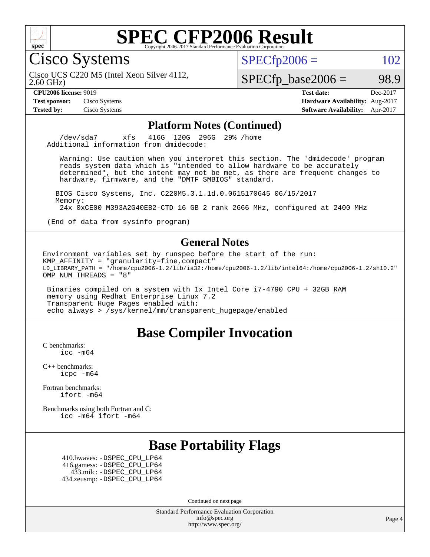

Cisco Systems

 $SPECTp2006 = 102$ 

2.60 GHz) Cisco UCS C220 M5 (Intel Xeon Silver 4112,

 $SPECTp\_base2006 = 98.9$ 

**[Test sponsor:](http://www.spec.org/auto/cpu2006/Docs/result-fields.html#Testsponsor)** Cisco Systems **[Hardware Availability:](http://www.spec.org/auto/cpu2006/Docs/result-fields.html#HardwareAvailability)** Aug-2017

**[CPU2006 license:](http://www.spec.org/auto/cpu2006/Docs/result-fields.html#CPU2006license)** 9019 **[Test date:](http://www.spec.org/auto/cpu2006/Docs/result-fields.html#Testdate)** Dec-2017 **[Tested by:](http://www.spec.org/auto/cpu2006/Docs/result-fields.html#Testedby)** Cisco Systems **[Software Availability:](http://www.spec.org/auto/cpu2006/Docs/result-fields.html#SoftwareAvailability)** Apr-2017

#### **[Platform Notes \(Continued\)](http://www.spec.org/auto/cpu2006/Docs/result-fields.html#PlatformNotes)**

 /dev/sda7 xfs 416G 120G 296G 29% /home Additional information from dmidecode:

 Warning: Use caution when you interpret this section. The 'dmidecode' program reads system data which is "intended to allow hardware to be accurately determined", but the intent may not be met, as there are frequent changes to hardware, firmware, and the "DMTF SMBIOS" standard.

 BIOS Cisco Systems, Inc. C220M5.3.1.1d.0.0615170645 06/15/2017 Memory: 24x 0xCE00 M393A2G40EB2-CTD 16 GB 2 rank 2666 MHz, configured at 2400 MHz

(End of data from sysinfo program)

#### **[General Notes](http://www.spec.org/auto/cpu2006/Docs/result-fields.html#GeneralNotes)**

Environment variables set by runspec before the start of the run: KMP\_AFFINITY = "granularity=fine,compact" LD\_LIBRARY\_PATH = "/home/cpu2006-1.2/lib/ia32:/home/cpu2006-1.2/lib/intel64:/home/cpu2006-1.2/sh10.2" OMP\_NUM\_THREADS = "8"

 Binaries compiled on a system with 1x Intel Core i7-4790 CPU + 32GB RAM memory using Redhat Enterprise Linux 7.2 Transparent Huge Pages enabled with: echo always > /sys/kernel/mm/transparent\_hugepage/enabled

#### **[Base Compiler Invocation](http://www.spec.org/auto/cpu2006/Docs/result-fields.html#BaseCompilerInvocation)**

[C benchmarks](http://www.spec.org/auto/cpu2006/Docs/result-fields.html#Cbenchmarks): [icc -m64](http://www.spec.org/cpu2006/results/res2017q4/cpu2006-20171211-50973.flags.html#user_CCbase_intel_icc_64bit_bda6cc9af1fdbb0edc3795bac97ada53)

[C++ benchmarks:](http://www.spec.org/auto/cpu2006/Docs/result-fields.html#CXXbenchmarks) [icpc -m64](http://www.spec.org/cpu2006/results/res2017q4/cpu2006-20171211-50973.flags.html#user_CXXbase_intel_icpc_64bit_fc66a5337ce925472a5c54ad6a0de310)

[Fortran benchmarks](http://www.spec.org/auto/cpu2006/Docs/result-fields.html#Fortranbenchmarks): [ifort -m64](http://www.spec.org/cpu2006/results/res2017q4/cpu2006-20171211-50973.flags.html#user_FCbase_intel_ifort_64bit_ee9d0fb25645d0210d97eb0527dcc06e)

[Benchmarks using both Fortran and C](http://www.spec.org/auto/cpu2006/Docs/result-fields.html#BenchmarksusingbothFortranandC): [icc -m64](http://www.spec.org/cpu2006/results/res2017q4/cpu2006-20171211-50973.flags.html#user_CC_FCbase_intel_icc_64bit_bda6cc9af1fdbb0edc3795bac97ada53) [ifort -m64](http://www.spec.org/cpu2006/results/res2017q4/cpu2006-20171211-50973.flags.html#user_CC_FCbase_intel_ifort_64bit_ee9d0fb25645d0210d97eb0527dcc06e)

#### **[Base Portability Flags](http://www.spec.org/auto/cpu2006/Docs/result-fields.html#BasePortabilityFlags)**

 410.bwaves: [-DSPEC\\_CPU\\_LP64](http://www.spec.org/cpu2006/results/res2017q4/cpu2006-20171211-50973.flags.html#suite_basePORTABILITY410_bwaves_DSPEC_CPU_LP64) 416.gamess: [-DSPEC\\_CPU\\_LP64](http://www.spec.org/cpu2006/results/res2017q4/cpu2006-20171211-50973.flags.html#suite_basePORTABILITY416_gamess_DSPEC_CPU_LP64) 433.milc: [-DSPEC\\_CPU\\_LP64](http://www.spec.org/cpu2006/results/res2017q4/cpu2006-20171211-50973.flags.html#suite_basePORTABILITY433_milc_DSPEC_CPU_LP64) 434.zeusmp: [-DSPEC\\_CPU\\_LP64](http://www.spec.org/cpu2006/results/res2017q4/cpu2006-20171211-50973.flags.html#suite_basePORTABILITY434_zeusmp_DSPEC_CPU_LP64)

Continued on next page

Standard Performance Evaluation Corporation [info@spec.org](mailto:info@spec.org) <http://www.spec.org/>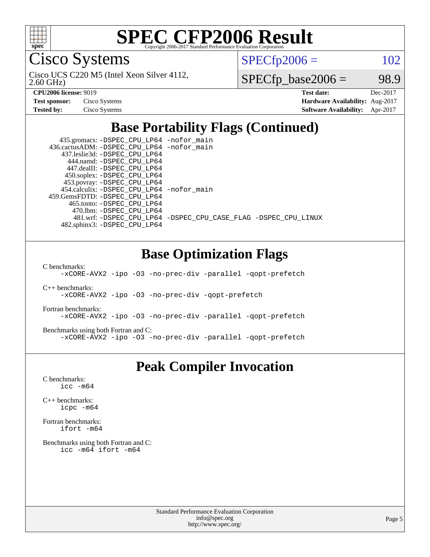

Cisco Systems

2.60 GHz) Cisco UCS C220 M5 (Intel Xeon Silver 4112,  $SPECTp2006 = 102$ 

 $SPECTp\_base2006 = 98.9$ 

| <b>Test sponsor:</b> | Cisco Systems |
|----------------------|---------------|
| <b>Tested by:</b>    | Cisco Systems |

**[CPU2006 license:](http://www.spec.org/auto/cpu2006/Docs/result-fields.html#CPU2006license)** 9019 **[Test date:](http://www.spec.org/auto/cpu2006/Docs/result-fields.html#Testdate)** Dec-2017 **[Hardware Availability:](http://www.spec.org/auto/cpu2006/Docs/result-fields.html#HardwareAvailability)** Aug-2017 **[Software Availability:](http://www.spec.org/auto/cpu2006/Docs/result-fields.html#SoftwareAvailability)** Apr-2017

### **[Base Portability Flags \(Continued\)](http://www.spec.org/auto/cpu2006/Docs/result-fields.html#BasePortabilityFlags)**

 435.gromacs: [-DSPEC\\_CPU\\_LP64](http://www.spec.org/cpu2006/results/res2017q4/cpu2006-20171211-50973.flags.html#suite_basePORTABILITY435_gromacs_DSPEC_CPU_LP64) [-nofor\\_main](http://www.spec.org/cpu2006/results/res2017q4/cpu2006-20171211-50973.flags.html#user_baseLDPORTABILITY435_gromacs_f-nofor_main) 436.cactusADM: [-DSPEC\\_CPU\\_LP64](http://www.spec.org/cpu2006/results/res2017q4/cpu2006-20171211-50973.flags.html#suite_basePORTABILITY436_cactusADM_DSPEC_CPU_LP64) [-nofor\\_main](http://www.spec.org/cpu2006/results/res2017q4/cpu2006-20171211-50973.flags.html#user_baseLDPORTABILITY436_cactusADM_f-nofor_main) 437.leslie3d: [-DSPEC\\_CPU\\_LP64](http://www.spec.org/cpu2006/results/res2017q4/cpu2006-20171211-50973.flags.html#suite_basePORTABILITY437_leslie3d_DSPEC_CPU_LP64) 444.namd: [-DSPEC\\_CPU\\_LP64](http://www.spec.org/cpu2006/results/res2017q4/cpu2006-20171211-50973.flags.html#suite_basePORTABILITY444_namd_DSPEC_CPU_LP64) 447.dealII: [-DSPEC\\_CPU\\_LP64](http://www.spec.org/cpu2006/results/res2017q4/cpu2006-20171211-50973.flags.html#suite_basePORTABILITY447_dealII_DSPEC_CPU_LP64) 450.soplex: [-DSPEC\\_CPU\\_LP64](http://www.spec.org/cpu2006/results/res2017q4/cpu2006-20171211-50973.flags.html#suite_basePORTABILITY450_soplex_DSPEC_CPU_LP64) 453.povray: [-DSPEC\\_CPU\\_LP64](http://www.spec.org/cpu2006/results/res2017q4/cpu2006-20171211-50973.flags.html#suite_basePORTABILITY453_povray_DSPEC_CPU_LP64) 454.calculix: [-DSPEC\\_CPU\\_LP64](http://www.spec.org/cpu2006/results/res2017q4/cpu2006-20171211-50973.flags.html#suite_basePORTABILITY454_calculix_DSPEC_CPU_LP64) [-nofor\\_main](http://www.spec.org/cpu2006/results/res2017q4/cpu2006-20171211-50973.flags.html#user_baseLDPORTABILITY454_calculix_f-nofor_main) 459.GemsFDTD: [-DSPEC\\_CPU\\_LP64](http://www.spec.org/cpu2006/results/res2017q4/cpu2006-20171211-50973.flags.html#suite_basePORTABILITY459_GemsFDTD_DSPEC_CPU_LP64) 465.tonto: [-DSPEC\\_CPU\\_LP64](http://www.spec.org/cpu2006/results/res2017q4/cpu2006-20171211-50973.flags.html#suite_basePORTABILITY465_tonto_DSPEC_CPU_LP64) 470.lbm: [-DSPEC\\_CPU\\_LP64](http://www.spec.org/cpu2006/results/res2017q4/cpu2006-20171211-50973.flags.html#suite_basePORTABILITY470_lbm_DSPEC_CPU_LP64) 481.wrf: [-DSPEC\\_CPU\\_LP64](http://www.spec.org/cpu2006/results/res2017q4/cpu2006-20171211-50973.flags.html#suite_basePORTABILITY481_wrf_DSPEC_CPU_LP64) [-DSPEC\\_CPU\\_CASE\\_FLAG](http://www.spec.org/cpu2006/results/res2017q4/cpu2006-20171211-50973.flags.html#b481.wrf_baseCPORTABILITY_DSPEC_CPU_CASE_FLAG) [-DSPEC\\_CPU\\_LINUX](http://www.spec.org/cpu2006/results/res2017q4/cpu2006-20171211-50973.flags.html#b481.wrf_baseCPORTABILITY_DSPEC_CPU_LINUX) 482.sphinx3: [-DSPEC\\_CPU\\_LP64](http://www.spec.org/cpu2006/results/res2017q4/cpu2006-20171211-50973.flags.html#suite_basePORTABILITY482_sphinx3_DSPEC_CPU_LP64)

### **[Base Optimization Flags](http://www.spec.org/auto/cpu2006/Docs/result-fields.html#BaseOptimizationFlags)**

[C benchmarks](http://www.spec.org/auto/cpu2006/Docs/result-fields.html#Cbenchmarks):

[-xCORE-AVX2](http://www.spec.org/cpu2006/results/res2017q4/cpu2006-20171211-50973.flags.html#user_CCbase_f-xCORE-AVX2) [-ipo](http://www.spec.org/cpu2006/results/res2017q4/cpu2006-20171211-50973.flags.html#user_CCbase_f-ipo) [-O3](http://www.spec.org/cpu2006/results/res2017q4/cpu2006-20171211-50973.flags.html#user_CCbase_f-O3) [-no-prec-div](http://www.spec.org/cpu2006/results/res2017q4/cpu2006-20171211-50973.flags.html#user_CCbase_f-no-prec-div) [-parallel](http://www.spec.org/cpu2006/results/res2017q4/cpu2006-20171211-50973.flags.html#user_CCbase_f-parallel) [-qopt-prefetch](http://www.spec.org/cpu2006/results/res2017q4/cpu2006-20171211-50973.flags.html#user_CCbase_f-qopt-prefetch)

[C++ benchmarks:](http://www.spec.org/auto/cpu2006/Docs/result-fields.html#CXXbenchmarks)

[-xCORE-AVX2](http://www.spec.org/cpu2006/results/res2017q4/cpu2006-20171211-50973.flags.html#user_CXXbase_f-xCORE-AVX2) [-ipo](http://www.spec.org/cpu2006/results/res2017q4/cpu2006-20171211-50973.flags.html#user_CXXbase_f-ipo) [-O3](http://www.spec.org/cpu2006/results/res2017q4/cpu2006-20171211-50973.flags.html#user_CXXbase_f-O3) [-no-prec-div](http://www.spec.org/cpu2006/results/res2017q4/cpu2006-20171211-50973.flags.html#user_CXXbase_f-no-prec-div) [-qopt-prefetch](http://www.spec.org/cpu2006/results/res2017q4/cpu2006-20171211-50973.flags.html#user_CXXbase_f-qopt-prefetch)

[Fortran benchmarks](http://www.spec.org/auto/cpu2006/Docs/result-fields.html#Fortranbenchmarks):

[-xCORE-AVX2](http://www.spec.org/cpu2006/results/res2017q4/cpu2006-20171211-50973.flags.html#user_FCbase_f-xCORE-AVX2) [-ipo](http://www.spec.org/cpu2006/results/res2017q4/cpu2006-20171211-50973.flags.html#user_FCbase_f-ipo) [-O3](http://www.spec.org/cpu2006/results/res2017q4/cpu2006-20171211-50973.flags.html#user_FCbase_f-O3) [-no-prec-div](http://www.spec.org/cpu2006/results/res2017q4/cpu2006-20171211-50973.flags.html#user_FCbase_f-no-prec-div) [-parallel](http://www.spec.org/cpu2006/results/res2017q4/cpu2006-20171211-50973.flags.html#user_FCbase_f-parallel) [-qopt-prefetch](http://www.spec.org/cpu2006/results/res2017q4/cpu2006-20171211-50973.flags.html#user_FCbase_f-qopt-prefetch)

[Benchmarks using both Fortran and C](http://www.spec.org/auto/cpu2006/Docs/result-fields.html#BenchmarksusingbothFortranandC):

[-xCORE-AVX2](http://www.spec.org/cpu2006/results/res2017q4/cpu2006-20171211-50973.flags.html#user_CC_FCbase_f-xCORE-AVX2) [-ipo](http://www.spec.org/cpu2006/results/res2017q4/cpu2006-20171211-50973.flags.html#user_CC_FCbase_f-ipo) [-O3](http://www.spec.org/cpu2006/results/res2017q4/cpu2006-20171211-50973.flags.html#user_CC_FCbase_f-O3) [-no-prec-div](http://www.spec.org/cpu2006/results/res2017q4/cpu2006-20171211-50973.flags.html#user_CC_FCbase_f-no-prec-div) [-parallel](http://www.spec.org/cpu2006/results/res2017q4/cpu2006-20171211-50973.flags.html#user_CC_FCbase_f-parallel) [-qopt-prefetch](http://www.spec.org/cpu2006/results/res2017q4/cpu2006-20171211-50973.flags.html#user_CC_FCbase_f-qopt-prefetch)

#### **[Peak Compiler Invocation](http://www.spec.org/auto/cpu2006/Docs/result-fields.html#PeakCompilerInvocation)**

[C benchmarks](http://www.spec.org/auto/cpu2006/Docs/result-fields.html#Cbenchmarks): [icc -m64](http://www.spec.org/cpu2006/results/res2017q4/cpu2006-20171211-50973.flags.html#user_CCpeak_intel_icc_64bit_bda6cc9af1fdbb0edc3795bac97ada53)

[C++ benchmarks:](http://www.spec.org/auto/cpu2006/Docs/result-fields.html#CXXbenchmarks) [icpc -m64](http://www.spec.org/cpu2006/results/res2017q4/cpu2006-20171211-50973.flags.html#user_CXXpeak_intel_icpc_64bit_fc66a5337ce925472a5c54ad6a0de310)

[Fortran benchmarks](http://www.spec.org/auto/cpu2006/Docs/result-fields.html#Fortranbenchmarks): [ifort -m64](http://www.spec.org/cpu2006/results/res2017q4/cpu2006-20171211-50973.flags.html#user_FCpeak_intel_ifort_64bit_ee9d0fb25645d0210d97eb0527dcc06e)

[Benchmarks using both Fortran and C](http://www.spec.org/auto/cpu2006/Docs/result-fields.html#BenchmarksusingbothFortranandC): [icc -m64](http://www.spec.org/cpu2006/results/res2017q4/cpu2006-20171211-50973.flags.html#user_CC_FCpeak_intel_icc_64bit_bda6cc9af1fdbb0edc3795bac97ada53) [ifort -m64](http://www.spec.org/cpu2006/results/res2017q4/cpu2006-20171211-50973.flags.html#user_CC_FCpeak_intel_ifort_64bit_ee9d0fb25645d0210d97eb0527dcc06e)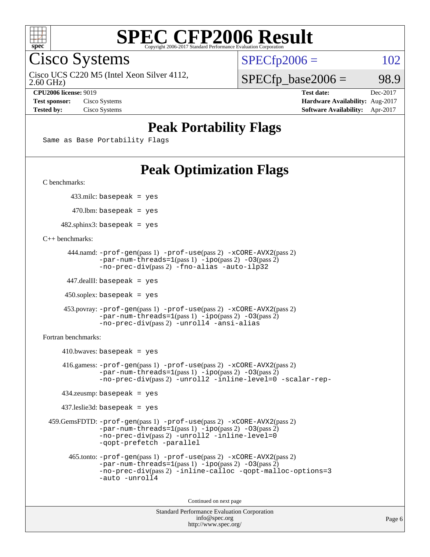

Cisco Systems

2.60 GHz) Cisco UCS C220 M5 (Intel Xeon Silver 4112,  $SPECTp2006 = 102$ 

 $SPECTp\_base2006 = 98.9$ 

**[CPU2006 license:](http://www.spec.org/auto/cpu2006/Docs/result-fields.html#CPU2006license)** 9019 **[Test date:](http://www.spec.org/auto/cpu2006/Docs/result-fields.html#Testdate)** Dec-2017 **[Test sponsor:](http://www.spec.org/auto/cpu2006/Docs/result-fields.html#Testsponsor)** Cisco Systems **[Hardware Availability:](http://www.spec.org/auto/cpu2006/Docs/result-fields.html#HardwareAvailability)** Aug-2017 **[Tested by:](http://www.spec.org/auto/cpu2006/Docs/result-fields.html#Testedby)** Cisco Systems **[Software Availability:](http://www.spec.org/auto/cpu2006/Docs/result-fields.html#SoftwareAvailability)** Apr-2017

### **[Peak Portability Flags](http://www.spec.org/auto/cpu2006/Docs/result-fields.html#PeakPortabilityFlags)**

Same as Base Portability Flags

### **[Peak Optimization Flags](http://www.spec.org/auto/cpu2006/Docs/result-fields.html#PeakOptimizationFlags)**

[C benchmarks](http://www.spec.org/auto/cpu2006/Docs/result-fields.html#Cbenchmarks):

433.milc: basepeak = yes

 $470.$ lbm: basepeak = yes

 $482$ .sphinx3: basepeak = yes

[C++ benchmarks:](http://www.spec.org/auto/cpu2006/Docs/result-fields.html#CXXbenchmarks)

```
 444.namd: -prof-gen(pass 1) -prof-use(pass 2) -xCORE-AVX2(pass 2)
      -par-num-threads=1-ipo-O3(pass 2)-no-prec-div(pass 2) -fno-alias -auto-ilp32
```
447.dealII: basepeak = yes

 $450$ .soplex: basepeak = yes

```
 453.povray: -prof-gen(pass 1) -prof-use(pass 2) -xCORE-AVX2(pass 2)
        -par-num-threads=1-ipo-O3(pass 2)-no-prec-div(pass 2) -unroll4 -ansi-alias
```
[Fortran benchmarks](http://www.spec.org/auto/cpu2006/Docs/result-fields.html#Fortranbenchmarks):

```
410.bwaves: basepeak = yes 416.gamess: -prof-gen(pass 1) -prof-use(pass 2) -xCORE-AVX2(pass 2)
           -par-num-threads=1-ipo-O3(pass 2)-no-prec-div(pass 2) -unroll2 -inline-level=0 -scalar-rep-
   434.zeusmp: basepeak = yes
   437.leslie3d: basepeak = yes
459.GemsFDTD: -prof-gen(pass 1) -prof-use(pass 2) -xCORE-AVX2(pass 2)
           -par-num-threads=1-ipo-O3(pass 2)-no-prec-div(pass 2) -unroll2 -inline-level=0
           -qopt-prefetch -parallel
     465.tonto: -prof-gen(pass 1) -prof-use(pass 2) -xCORE-AVX2(pass 2)
           -par-num-threads=1(pass 1) -ipo(pass 2) -O3(pass 2)
           -no-prec-div-inline-calloc-qopt-malloc-options=3
           -auto -unroll4
```
Continued on next page

```
Standard Performance Evaluation Corporation
            info@spec.org
          http://www.spec.org/
```